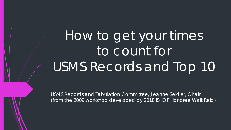How to get your times to count for USMS Records and Top 10

USMS Records and Tabulation Committee, Jeanne Seidler, Chair (from the 2009 workshop developed by 2018 ISHOF Honoree Walt Reid)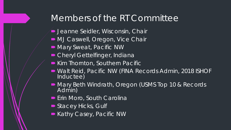#### Members of the RT Committee

- **D** Jeanne Seidler, Wisconsin, Chair
- $\blacksquare$  MJ Caswell, Oregon, Vice Chair
- Mary Sweat, Pacific NW
- Cheryl Gettelfinger, Indiana
- Kim Thornton, Southern Pacific
- Walt Reid, Pacific NW (FINA Records Admin, 2018 ISHOF Inductee)
- Mary Beth Windrath, Oregon (USMS Top 10 & Records<br>Admin)
- **Erin Moro, South Carolina**
- Stacey Hicks, Gulf
- Kathy Casey, Pacific NW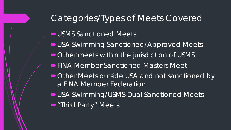### Categories/Types of Meets Covered

- **USMS Sanctioned Meets**
- USA Swimming Sanctioned/Approved Meets
- $\blacksquare$  Other meets within the jurisdiction of USMS
- **FINA Member Sanctioned Masters Meet**
- Other Meets outside USA and not sanctioned by a FINA Member Federation
- USA Swimming/USMS Dual Sanctioned Meets
- "Third Party" Meets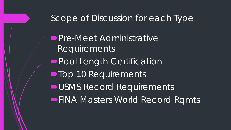#### Scope of Discussion for each Type

**Pre-Meet Administrative** Requirements **Pool Length Certification Top 10 Requirements USMS Record Requirements FINA Masters World Record Rqmts**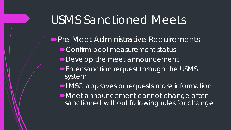- **Pre-Meet Administrative Requirements** Confirm pool measurement status
	- Develop the meet announcement
	- **Enter sanction request through the USMS** system
	- **-LMSC** approves or requests more information
	- ■Meet announcement cannot change after sanctioned without following rules for change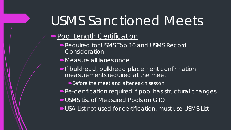#### **Pool Length Certification**

- Required for USMS Top 10 and USMS Record **Consideration**
- Measure all lanes once
- **If bulkhead, bulkhead placement confirmation** measurements required at the meet
	- ■Before the meet and after each session
- Re-certification required if pool has structural changes
- USMS List of Measured Pools on GTO
- USA List not used for certification, must use USMS List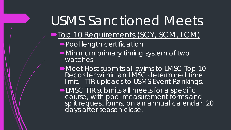- $\blacksquare$ Top 10 Requirements (SCY, SCM, LCM)
	- **Pool length certification**
	- ■Minimum primary timing system of two watches
	- ■Meet Host submits all swims to LMSC Top 10 Recorder within an LMSC determined time limit. TTR uploads to USMS Event Rankings.
	- **-LMSC TTR submits all meets for a specific** course, with pool measurement forms and split request forms, on an annual calendar, 20 days after season close.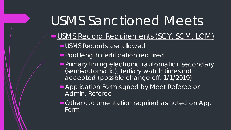- USMS Record Requirements (SCY, SCM, LCM)
	- USMS Records are allowed
	- **Pool length certification required**
	- **Primary timing electronic (automatic), secondary** (semi-automatic), tertiary watch times not accepted (possible change eff. 1/1/2019)
	- **Application Form signed by Meet Referee or** Admin. Referee
	- ■Other documentation required as noted on App. Form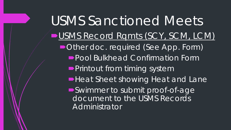USMS Sanctioned Meets USMS Record Ramts (SCY, SCM, LCM) ■ Other doc. required (See App. Form) Pool Bulkhead Confirmation Form **Printout from timing system Heat Sheet showing Heat and Lane** Swimmer to submit proof-of-age document to the USMS Records **Administrator**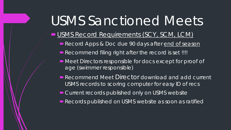#### USMS Record Requirements (SCY, SCM, LCM)

- Record Apps & Doc due 90 days after end of season
- Recommend filing right after the record is set !!!!
- $\blacksquare$  Meet Directors responsible for docs except for proof of age (swimmer responsible)
- Recommend Meet Director download and add current USMS records to scoring computer for easy ID of recs
- Current records published only on USMS website
- Records published on USMS website as soon as ratified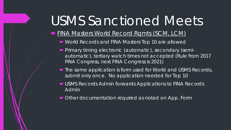#### **FINA Masters World Record Rqmts (SCM, LCM)**

- World Records and FINA Masters Top 10 are allowed
- **Primary timing electronic (automatic), secondary (semi**automatic), tertiary watch times not accepted (Rule from 2017 FINA Congress, next FINA Congress is 2021)
- The same application is form used for World and USMS Records, submit only once. No application needed for Top 10
- USMS Records Admin forwards Applications to FINA Records Admin
- Other documentation required as noted on App. Form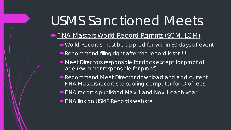#### FINA Masters World Record Rqmnts (SCM, LCM)

- World Records must be applied for within 60 days of event
- Recommend filing right after the record is set !!!!
- $\blacksquare$  Meet Directors responsible for docs except for proof of age (swimmer responsible for proof)
- Recommend Meet Director download and add current FINA Masters records to scoring computer for ID of recs
- **FINA records published May 1 and Nov 1 each year**
- **FINA link on USMS Records website**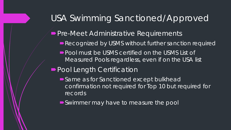#### USA Swimming Sanctioned/Approved

**Pre-Meet Administrative Requirements** 

- Recognized by USMS without further sanction required
- **Pool must be USMS certified on the USMS List of** Measured Pools regardless, even if on the USA list
- **Pool Length Certification** 
	- Same as for Sanctioned except bulkhead confirmation not required for Top 10 but required for records
	- ■Swimmer may have to measure the pool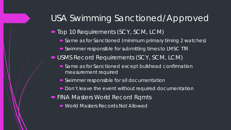### USA Swimming Sanctioned/Approved

■ Top 10 Requirements (SCY, SCM, LCM)

- Same as for Sanctioned (minimum primary timing 2 watches)
- Swimmer responsible for submitting times to LMSC TTR
- USMS Record Requirements (SCY, SCM, LCM)
	- Same as for Sanctioned except bulkhead confirmation measurement required
	- Swimmer responsible for all documentation
	- Don't leave the event without required documentation
- **FINA Masters World Record Rqmts** 
	- World Masters Records Not Allowed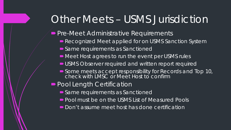## Other Meets – USMS Jurisdiction

**Pre-Meet Administrative Requirements** 

- Recognized Meet applied for on USMS Sanction System
- **Same requirements as Sanctioned**
- $\blacksquare$  Meet Host agrees to run the event per USMS rules
- **USMS Observer required and written report required**
- Some meets accept responsibility for Records and Top 10, check with LMSC or Meet Host to confirm

#### **Pool Length Certification**

- Same requirements as Sanctioned
- Pool must be on the USMS List of Measured Pools
- Don't assume meet host has done certification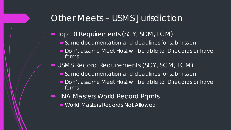#### Other Meets – USMS Jurisdiction

- Top 10 Requirements (SCY, SCM, LCM)
	- Same documentation and deadlines for submission
	- Don't assume Meet Host will be able to ID records or have forms
- USMS Record Requirements (SCY, SCM, LCM)
	- Same documentation and deadlines for submission
	- Don't assume Meet Host will be able to ID records or have forms
- **FINA Masters World Record Rqmts** 
	- World Masters Records Not Allowed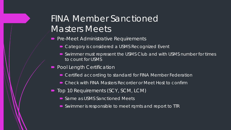### FINA Member Sanctioned Masters Meets

- **Pre-Meet Administrative Requirements** 
	- Category is considered a USMS Recognized Event
	- Swimmer must represent the USMS Club and with USMS number for times to count for USMS
- Pool Length Certification
	- Certified according to standard for FINA Member Federation
	- Check with FINA Masters Recorder or Meet Host to confirm
- Top 10 Requirements (SCY, SCM, LCM)
	- Same as USMS Sanctioned Meets
	- Swimmer is responsible to meet rqmts and report to TTR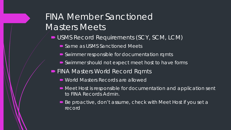### FINA Member Sanctioned Masters Meets'

- USMS Record Requirements (SCY, SCM, LCM)
	- Same as USMS Sanctioned Meets
	- Swimmer responsible for documentation rqmts
	- Swimmer should not expect meet host to have forms
- **FINA Masters World Record Rqmts** 
	- World Masters Records are allowed
	- Meet Host is responsible for documentation and application sent to FINA Records Admin.
	- Be proactive, don't assume, check with Meet Host if you set a record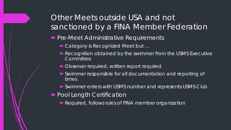#### Other Meets outside USA and not sanctioned by a FINA Member Federation

- **Pre-Meet Administrative Requirements** 
	- Category is Recognized Meet but ...
	- Recognition obtained by the swimmer from the USMS Executive **Committee**
	- Observer required, written report required
	- Swimmer responsible for all documentation and reporting of times
	- Swimmer enters with USMS number and represents USMS Club
- **Pool Length Certification** 
	- Required, follows rules of FINA member organization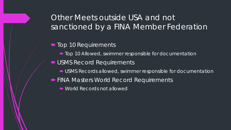#### Other Meets outside USA and not sanctioned by a FINA Member Federation

#### ■ Top 10 Requirements

- $\blacksquare$  Top 10 Allowed, swimmer responsible for documentation
- USMS Record Requirements
	- USMS Records allowed, swimmer responsible for documentation
- **FINA Masters World Record Requirements** 
	- World Records not allowed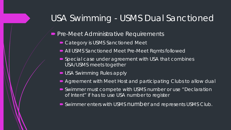### USA Swimming - USMS Dual Sanctioned

- **Pre-Meet Administrative Requirements** 
	- Category is USMS Sanctioned Meet
	- All USMS Sanctioned Meet Pre-Meet Rqmts followed
	- Special case under agreement with USA that combines USA/USMS meets together
	- USA Swimming Rules apply
	- Agreement with Meet Host and participating Clubs to allow dual
	- Swimmer must compete with USMS number or use "Declaration of Intent" if has to use USA number to register
	- Swimmer enters with USMS number and represents USMS Club.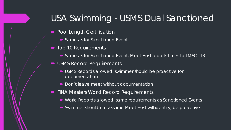### USA Swimming - USMS Dual Sanctioned

- Pool Length Certification
	- Same as for Sanctioned Event
- Top 10 Requirements
	- Same as for Sanctioned Event, Meet Host reports times to LMSC TTR
- USMS Record Requirements
	- USMS Records allowed, swimmer should be proactive for documentation
	- Don't leave meet without documentation
- **FINA Masters World Record Requirements** 
	- World Records allowed, same requirements as Sanctioned Events
	- Swimmer should not assume Meet Host will identify, be proactive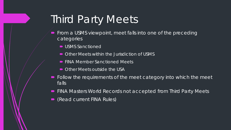## Third Party Meets

- From a USMS viewpoint, meet falls into one of the preceding categories
	- **USMS Sanctioned**
	- Other Meets within the Jurisdiction of USMS
	- FINA Member Sanctioned Meets
	- Other Meets outside the USA
- Follow the requirements of the meet category into which the meet falls
- FINA Masters World Records not accepted from Third Party Meets
- (Read current FINA Rules)